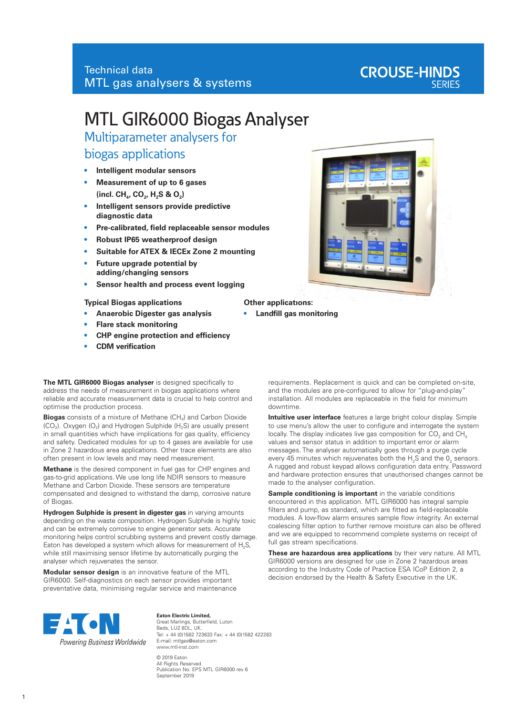# **CROUSE-HINDS**

## MTL GIR6000 Biogas Analyser

Multiparameter analysers for

## biogas applications

- **• Intelligent modular sensors**
- **• Measurement of up to 6 gases** (incl. CH<sub>4</sub>, CO<sub>2</sub>, H<sub>2</sub>S & O<sub>2</sub>)
- **• Intelligent sensors provide predictive diagnostic data**
- **• Pre-calibrated, field replaceable sensor modules**
- **• Robust IP65 weatherproof design**
- **• Suitable for ATEX & IECEx Zone 2 mounting**
- **• Future upgrade potential by adding/changing sensors**
- **• Sensor health and process event logging**

#### **Typical Biogas applications**

- **• Anaerobic Digester gas analysis**
- **• Flare stack monitoring**
- **• CHP engine protection and efficiency**
- **• CDM verification**

**The MTL GIR6000 Biogas analyser** is designed specifically to address the needs of measurement in biogas applications where reliable and accurate measurement data is crucial to help control and optimise the production process.

**Biogas** consists of a mixture of Methane (CH4) and Carbon Dioxide  $(CO<sub>2</sub>)$ . Oxygen  $(O<sub>2</sub>)$  and Hydrogen Sulphide (H<sub>2</sub>S) are usually present in small quantities which have implications for gas quality, efficiency and safety. Dedicated modules for up to 4 gases are available for use in Zone 2 hazardous area applications. Other trace elements are also often present in low levels and may need measurement.

**Methane** is the desired component in fuel gas for CHP engines and gas-to-grid applications. We use long life NDIR sensors to measure Methane and Carbon Dioxide. These sensors are temperature compensated and designed to withstand the damp, corrosive nature of Biogas.

**Hydrogen Sulphide is present in digester gas** in varying amounts depending on the waste composition. Hydrogen Sulphide is highly toxic and can be extremely corrosive to engine generator sets. Accurate monitoring helps control scrubbing systems and prevent costly damage. Eaton has developed a system which allows for measurement of  $H_2S$ , while still maximising sensor lifetime by automatically purging the analyser which rejuvenates the sensor.

**Modular sensor design** is an innovative feature of the MTL GIR6000. Self-diagnostics on each sensor provides important preventative data, minimising regular service and maintenance



requirements. Replacement is quick and can be completed on-site,

to use menu's allow the user to configure and interrogate the system locally. The display indicates live gas composition for CO $_2$  and CH $_4\,$ values and sensor status in addition to important error or alarm messages. The analyser automatically goes through a purge cycle every 45 minutes which rejuvenates both the  $H_2S$  and the  $0<sub>2</sub>$  sensors. A rugged and robust keypad allows configuration data entry. Password and hardware protection ensures that unauthorised changes cannot be made to the analyser configuration.

**Sample conditioning is important** in the variable conditions encountered in this application. MTL GIR6000 has integral sample filters and pump, as standard, which are fitted as field-replaceable modules. A low-flow alarm ensures sample flow integrity. An external coalescing filter option to further remove moisture can also be offered and we are equipped to recommend complete systems on receipt of full gas stream specifications.

**These are hazardous area applications** by their very nature. All MTL GIR6000 versions are designed for use in Zone 2 hazardous areas according to the Industry Code of Practice ESA ICoP Edition 2, a decision endorsed by the Health & Safety Executive in the UK.



**Eaton Electric Limited,** Great Marlings, Butterfield, Luton Beds, LU2 8DL, UK. Tel: + 44 (0)1582 723633 Fax: + 44 (0)1582 422283 E-mail: mtlgas@eaton.com www.mtl-inst.com © 2019 Eaton

All Rights Reserved Publication No. EPS MTL GIR6000 rev 6 September 2019



**Other applications:**

**• Landfill gas monitoring**